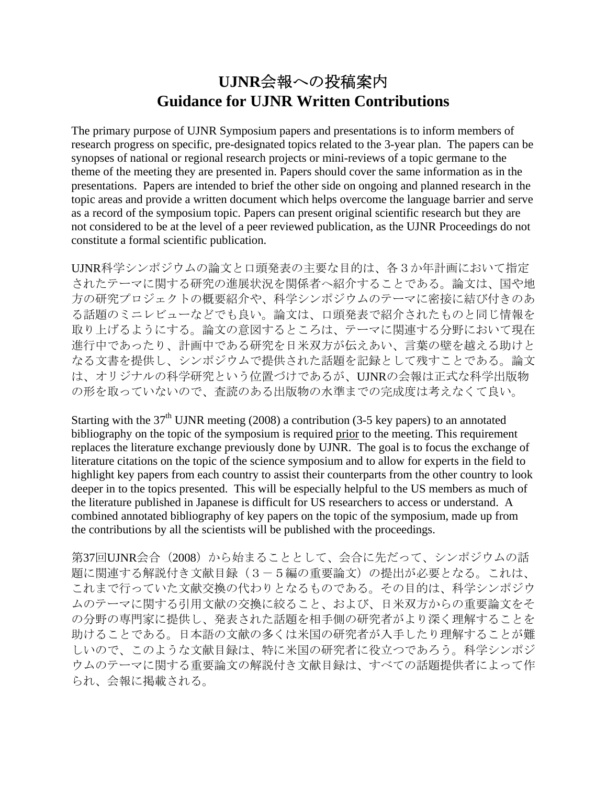# **UJNR**会報への投稿案内 **Guidance for UJNR Written Contributions**

The primary purpose of UJNR Symposium papers and presentations is to inform members of research progress on specific, pre-designated topics related to the 3-year plan. The papers can be synopses of national or regional research projects or mini-reviews of a topic germane to the theme of the meeting they are presented in. Papers should cover the same information as in the presentations. Papers are intended to brief the other side on ongoing and planned research in the topic areas and provide a written document which helps overcome the language barrier and serve as a record of the symposium topic. Papers can present original scientific research but they are not considered to be at the level of a peer reviewed publication, as the UJNR Proceedings do not constitute a formal scientific publication.

UJNR科学シンポジウムの論文と口頭発表の主要な目的は、各3か年計画において指定 されたテーマに関する研究の進展状況を関係者へ紹介することである。論文は、国や地 方の研究プロジェクトの概要紹介や、科学シンポジウムのテーマに密接に結び付きのあ る話題のミニレビューなどでも良い。論文は、口頭発表で紹介されたものと同じ情報を 取り上げるようにする。論文の意図するところは、テーマに関連する分野において現在 進行中であったり、計画中である研究を日米双方が伝えあい、言葉の壁を越える助けと なる文書を提供し、シンポジウムで提供された話題を記録として残すことである。論文 は、オリジナルの科学研究という位置づけであるが、UJNRの会報は正式な科学出版物 の形を取っていないので、査読のある出版物の水準までの完成度は考えなくて良い。

Starting with the  $37<sup>th</sup>$  UJNR meeting (2008) a contribution (3-5 key papers) to an annotated bibliography on the topic of the symposium is required prior to the meeting. This requirement replaces the literature exchange previously done by UJNR. The goal is to focus the exchange of literature citations on the topic of the science symposium and to allow for experts in the field to highlight key papers from each country to assist their counterparts from the other country to look deeper in to the topics presented. This will be especially helpful to the US members as much of the literature published in Japanese is difficult for US researchers to access or understand. A combined annotated bibliography of key papers on the topic of the symposium, made up from the contributions by all the scientists will be published with the proceedings.

第37回UJNR会合 (2008) から始まることとして、会合に先だって、シンポジウムの話 題に関連する解説付き文献目録(3-5編の重要論文)の提出が必要となる。これは、 これまで行っていた文献交換の代わりとなるものである。その目的は、科学シンポジウ ムのテーマに関する引用文献の交換に絞ること、および、日米双方からの重要論文をそ の分野の専門家に提供し、発表された話題を相手側の研究者がより深く理解することを 助けることである。日本語の文献の多くは米国の研究者が入手したり理解することが難 しいので、このような文献目録は、特に米国の研究者に役立つであろう。科学シンポジ ウムのテーマに関する重要論文の解説付き文献目録は、すべての話題提供者によって作 られ、会報に掲載される。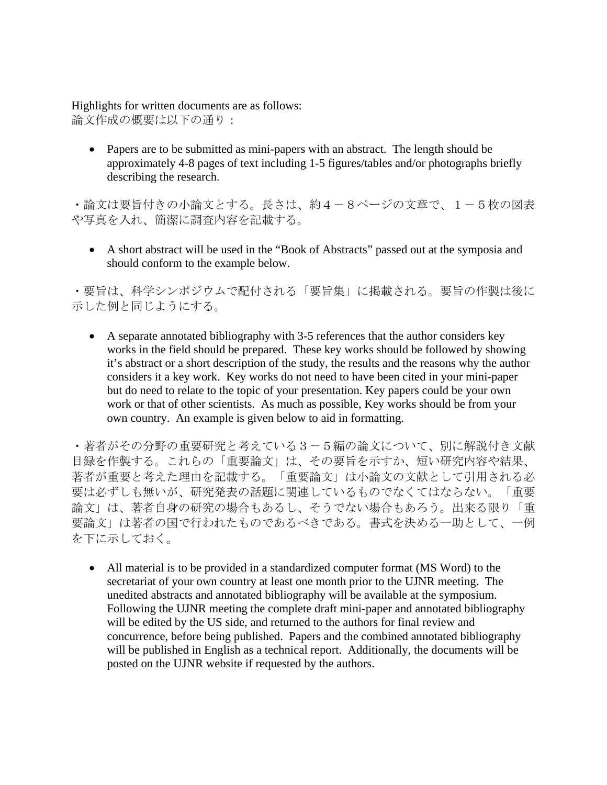Highlights for written documents are as follows: 論文作成の概要は以下の通り:

• Papers are to be submitted as mini-papers with an abstract. The length should be approximately 4-8 pages of text including 1-5 figures/tables and/or photographs briefly describing the research.

・論文は要旨付きの小論文とする。長さは、約4-8ページの文章で、1-5枚の図表 や写真を入れ、簡潔に調査内容を記載する。

• A short abstract will be used in the "Book of Abstracts" passed out at the symposia and should conform to the example below.

・要旨は、科学シンポジウムで配付される「要旨集」に掲載される。要旨の作製は後に 示した例と同じようにする。

• A separate annotated bibliography with 3-5 references that the author considers key works in the field should be prepared. These key works should be followed by showing it's abstract or a short description of the study, the results and the reasons why the author considers it a key work. Key works do not need to have been cited in your mini-paper but do need to relate to the topic of your presentation. Key papers could be your own work or that of other scientists. As much as possible, Key works should be from your own country. An example is given below to aid in formatting.

・著者がその分野の重要研究と考えている3-5編の論文について、別に解説付き文献 目録を作製する。これらの「重要論文」は、その要旨を示すか、短い研究内容や結果、 著者が重要と考えた理由を記載する。「重要論文」は小論文の文献として引用される必 要は必ずしも無いが、研究発表の話題に関連しているものでなくてはならない。「重要 論文」は、著者自身の研究の場合もあるし、そうでない場合もあろう。出来る限り「重 要論文」は著者の国で行われたものであるべきである。書式を決める一助として、一例 を下に示しておく。

• All material is to be provided in a standardized computer format (MS Word) to the secretariat of your own country at least one month prior to the UJNR meeting. The unedited abstracts and annotated bibliography will be available at the symposium. Following the UJNR meeting the complete draft mini-paper and annotated bibliography will be edited by the US side, and returned to the authors for final review and concurrence, before being published. Papers and the combined annotated bibliography will be published in English as a technical report. Additionally, the documents will be posted on the UJNR website if requested by the authors.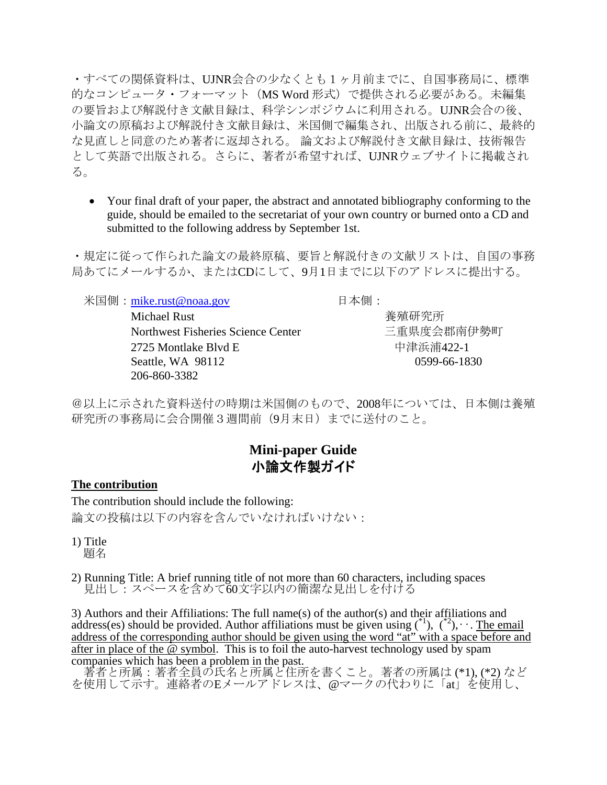・すべての関係資料は、UJNR会合の少なくとも1ヶ月前までに、自国事務局に、標準 的なコンピュータ・フォーマット (MS Word 形式) で提供される必要がある。未編集 の要旨および解説付き文献目録は、科学シンポジウムに利用される。UJNR会合の後、 小論文の原稿および解説付き文献目録は、米国側で編集され、出版される前に、最終的 な見直しと同意のため著者に返却される。 論文および解説付き文献目録は、技術報告 として英語で出版される。さらに、著者が希望すれば、UJNRウェブサイトに掲載され る。

• Your final draft of your paper, the abstract and annotated bibliography conforming to the guide, should be emailed to the secretariat of your own country or burned onto a CD and submitted to the following address by September 1st.

・規定に従って作られた論文の最終原稿、要旨と解説付きの文献リストは、自国の事務 局あてにメールするか、またはCDにして、9月1日までに以下のアドレスに提出する。

米国側:[mike.rust@noaa.gov](mailto:mike.rust@noaa.gov) 日本側:

Michael Rust <br> **Michael Rust** Northwest Fisheries Science Center 三重県度会郡南伊勢町 2725 Montlake Blvd E <br>
中津浜浦422-1 Seattle, WA 98112 0599-66-1830 206-860-3382

@以上に示された資料送付の時期は米国側のもので、2008年については、日本側は養殖 研究所の事務局に会合開催3週間前(9月末日)までに送付のこと。

# **Mini-paper Guide**  小論文作製ガイド

# **The contribution**

The contribution should include the following: 論文の投稿は以下の内容を含んでいなければいけない:

1) Title 題名

2) Running Title: A brief running title of not more than 60 characters, including spaces 見出し:スペースを含めて60文字以内の簡潔な見出しを付ける

3) Authors and their Affiliations: The full name(s) of the author(s) and their affiliations and address(es) should be provided. Author affiliations must be given using  $({}^{*1})$ ,  $({}^{*2})$ ,  $\cdot \cdot$ . The email address of the corresponding author should be given using the word "at" with a space before and after in place of the @ symbol. This is to foil the auto-harvest technology used by spam companies which has been a problem in the past.

 著者と所属:著者全員の氏名と所属と住所を書くこと。著者の所属は (\*1), (\*2) など を使用して示す。連絡者のEメールアドレスは、@マークの代わりに「at」を使用し、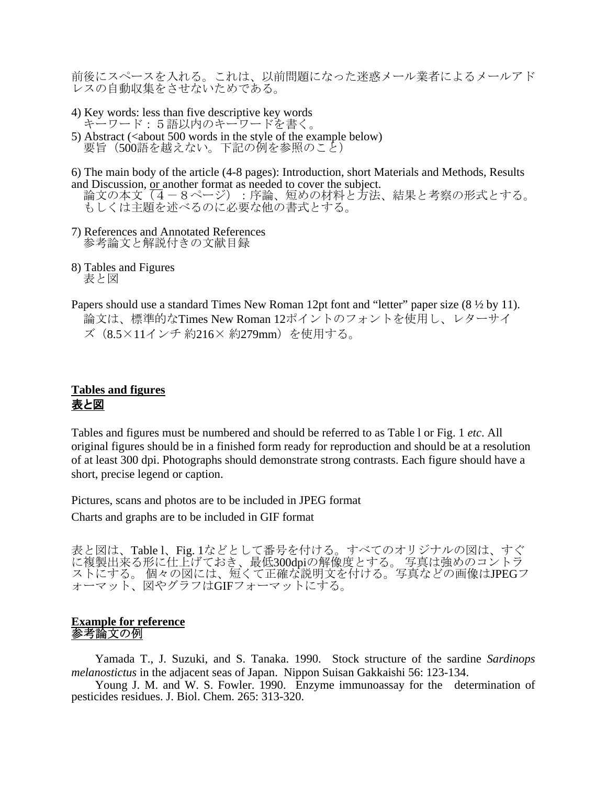前後にスペースを入れる。これは、以前問題になった迷惑メール業者によるメールアド いスの自動収集をさせないためである。

4) Key words: less than five descriptive key words キーワード:5語以内のキーワードを書く。 5) Abstract (<about 500 words in the style of the example below)<br>要旨(500語を越えない。下記の例を参照のこと)

6) The main body of the article (4-8 pages): Introduction, short Materials and Methods, Results

and Discussion, <u>or</u> another format as needed to cover the subject.<br>論文の本文(4 – 8ページ): 序論、短めの材料と方法、結果と考察の形式とする。 もしくは主題を述べるのに必要な他の書式とする。

- 7) References and Annotated References 参考論文と解説付きの文献目録
- 8) Tables and Figures 表と図
- Papers should use a standard Times New Roman 12pt font and "letter" paper size (8  $\frac{1}{2}$  by 11). 論文は、標準的なTimes New Roman 12ポイントのフォントを使用し、レターサイ ズ(8.5×11インチ 約216× 約279mm)を使用する。

# **Tables and figures** 表と図

Tables and figures must be numbered and should be referred to as Table l or Fig. 1 *etc*. All original figures should be in a finished form ready for reproduction and should be at a resolution of at least 300 dpi. Photographs should demonstrate strong contrasts. Each figure should have a short, precise legend or caption.

Pictures, scans and photos are to be included in JPEG format

Charts and graphs are to be included in GIF format

表と図は、Table l、Fig. 1などとして番号を付ける。すべてのオリジナルの図は、すぐ に複製出来る形に仕上げておき、最低300dpiの解像度とする。 写真は強めのコントラ ストにする。 個々の図には、短くて正確な説明文を付ける。写真などの画像はJPEGフ ォーマット、図やグラフはGIFフォーマットにする。

#### **Example for reference** 参考論文の例

Yamada T., J. Suzuki, and S. Tanaka. 1990. Stock structure of the sardine *Sardinops melanostictus* in the adjacent seas of Japan. Nippon Suisan Gakkaishi 56: 123-134.

 Young J. M. and W. S. Fowler. 1990. Enzyme immunoassay for the determination of pesticides residues. J. Biol. Chem. 265: 313-320.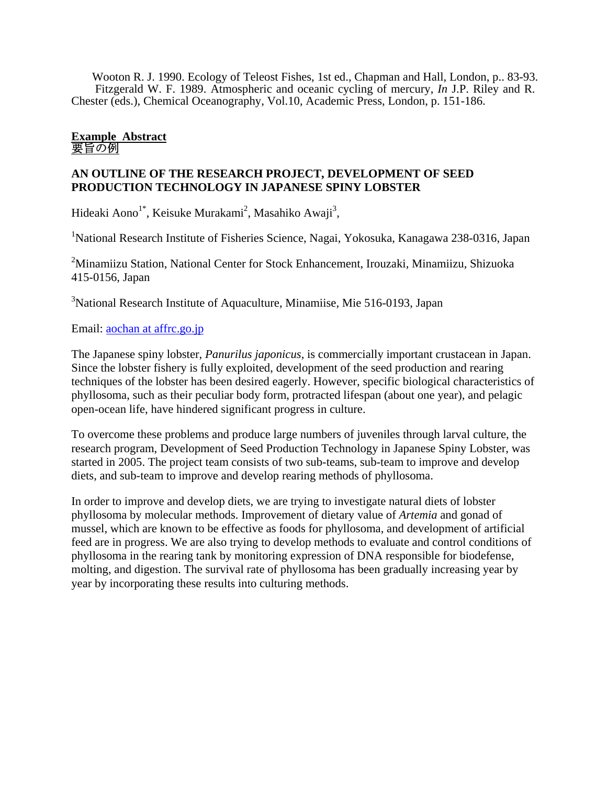Wooton R. J. 1990. Ecology of Teleost Fishes, 1st ed., Chapman and Hall, London, p.. 83-93. Fitzgerald W. F. 1989. Atmospheric and oceanic cycling of mercury, *In* J.P. Riley and R. Chester (eds.), Chemical Oceanography, Vol.10, Academic Press, London, p. 151-186.

#### **Example Abstract** 要旨の例

#### **AN OUTLINE OF THE RESEARCH PROJECT, DEVELOPMENT OF SEED PRODUCTION TECHNOLOGY IN JAPANESE SPINY LOBSTER**

Hideaki Aono<sup>1\*</sup>, Keisuke Murakami<sup>2</sup>, Masahiko Awaji<sup>3</sup>,

<sup>1</sup>National Research Institute of Fisheries Science, Nagai, Yokosuka, Kanagawa 238-0316, Japan

<sup>2</sup>Minamiizu Station, National Center for Stock Enhancement, Irouzaki, Minamiizu, Shizuoka 415-0156, Japan

<sup>3</sup>National Research Institute of Aquaculture, Minamiise, Mie 516-0193, Japan

# Email: **aochan at affrc.go.jp**

The Japanese spiny lobster, *Panurilus japonicus*, is commercially important crustacean in Japan. Since the lobster fishery is fully exploited, development of the seed production and rearing techniques of the lobster has been desired eagerly. However, specific biological characteristics of phyllosoma, such as their peculiar body form, protracted lifespan (about one year), and pelagic open-ocean life, have hindered significant progress in culture.

To overcome these problems and produce large numbers of juveniles through larval culture, the research program, Development of Seed Production Technology in Japanese Spiny Lobster, was started in 2005. The project team consists of two sub-teams, sub-team to improve and develop diets, and sub-team to improve and develop rearing methods of phyllosoma.

In order to improve and develop diets, we are trying to investigate natural diets of lobster phyllosoma by molecular methods. Improvement of dietary value of *Artemia* and gonad of mussel, which are known to be effective as foods for phyllosoma, and development of artificial feed are in progress. We are also trying to develop methods to evaluate and control conditions of phyllosoma in the rearing tank by monitoring expression of DNA responsible for biodefense, molting, and digestion. The survival rate of phyllosoma has been gradually increasing year by year by incorporating these results into culturing methods.